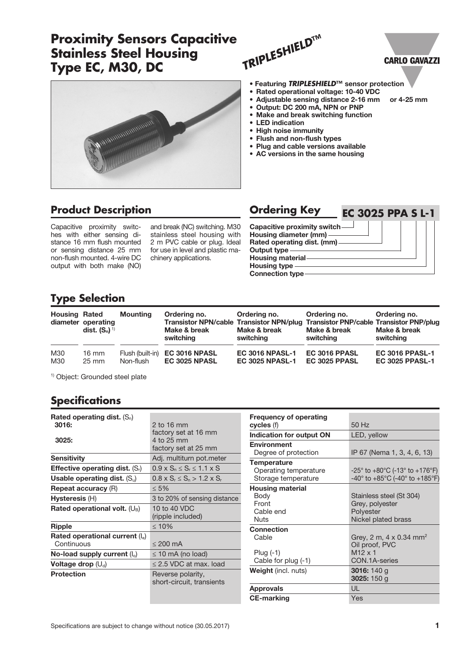# **Proximity Sensors Capacitive Stainless Steel Housing Type EC, M30, DC**







#### • Featuring *TRIPLESHIELD***™** sensor protection • Rated operational voltage: 10-40 VDC • Adjustable sensing distance 2-16 mm or 4-25 mm

- Output: DC 200 mA, NPN or PNP
- Make and break switching function
- LED indication
- High noise immunity
- Flush and non-flush types
- Plug and cable versions available
- AC versions in the same housing

## **Product Description Carolism Condering Key**

Capacitive proximity switches with either sensing distance 16 mm flush mounted or sensing distance 25 mm non-flush mounted. 4-wire DC output with both make (NO)

and break (NC) switching. M30 stainless steel housing with 2 m PVC cable or plug. Ideal for use in level and plastic machinery applications.



## **Type Selection**

| <b>Housing Rated</b> | diameter operating<br>dist. $(S_n)^{1/2}$ | <b>Mounting</b>  | Ordering no.<br>Transistor NPN/cable Transistor NPN/plug Transistor PNP/cable Transistor PNP/plug<br>Make & break<br>switching | Ordering no.<br>Make & break<br>switching | Ordering no.<br>Make & break<br>switching | Ordering no.<br>Make & break<br>switching |
|----------------------|-------------------------------------------|------------------|--------------------------------------------------------------------------------------------------------------------------------|-------------------------------------------|-------------------------------------------|-------------------------------------------|
| M30                  | 16 mm                                     | Flush (built-in) | EC 3016 NPASL                                                                                                                  | <b>EC 3016 NPASL-1</b>                    | EC 3016 PPASL                             | <b>EC 3016 PPASL-1</b>                    |
| M30                  | $25 \text{ mm}$                           | Non-flush        | EC 3025 NPASL                                                                                                                  | <b>EC 3025 NPASL-1</b>                    | EC 3025 PPASL                             | <b>EC 3025 PPASL-1</b>                    |

1) Object: Grounded steel plate

### **Specifications**

| Rated operating dist. $(S_n)$<br>3016:   | 2 to 16 mm                                     |
|------------------------------------------|------------------------------------------------|
|                                          | factory set at 16 mm                           |
| 3025:                                    | 4 to 25 mm                                     |
|                                          | factory set at 25 mm                           |
| <b>Sensitivity</b>                       | Adj. multiturn pot.meter                       |
| <b>Effective operating dist.</b> $(S_i)$ | $0.9 \times S_n \leq S_r \leq 1.1 \times S$    |
| Usable operating dist. $(S_u)$           | $0.8 \times S_r \le S_n > 1.2 \times S_r$      |
| <b>Repeat accuracy (R)</b>               | $\leq 5\%$                                     |
| Hysteresis (H)                           | 3 to 20% of sensing distance                   |
| Rated operational volt. $(U_B)$          | 10 to 40 VDC                                   |
|                                          | (ripple included)                              |
| <b>Ripple</b>                            | $\leq 10\%$                                    |
| Rated operational current (le)           |                                                |
| Continuous                               | $\leq$ 200 mA                                  |
| No-load supply current $(I_0)$           | $\leq$ 10 mA (no load)                         |
| Voltage drop $(U_d)$                     | $\leq$ 2.5 VDC at max. load                    |
| <b>Protection</b>                        | Reverse polarity,<br>short-circuit, transients |

| <b>Frequency of operating</b><br>cycles (f) | $50$ Hz                                                               |
|---------------------------------------------|-----------------------------------------------------------------------|
|                                             |                                                                       |
| Indication for output ON                    | LED, yellow                                                           |
| <b>Environment</b>                          |                                                                       |
| Degree of protection                        | IP 67 (Nema 1, 3, 4, 6, 13)                                           |
| <b>Temperature</b>                          |                                                                       |
| Operating temperature                       | $-25^{\circ}$ to $+80^{\circ}$ C (-13 $^{\circ}$ to $+176^{\circ}$ F) |
| Storage temperature                         | $-40^{\circ}$ to $+85^{\circ}$ C (-40° to $+185^{\circ}$ F)           |
| <b>Housing material</b>                     |                                                                       |
| Body                                        | Stainless steel (St 304)                                              |
| Front                                       | Grey, polyester                                                       |
| Cable end                                   | Polyester                                                             |
| Nuts                                        | Nickel plated brass                                                   |
| <b>Connection</b>                           |                                                                       |
| Cable                                       | Grey, 2 m, 4 x 0.34 mm <sup>2</sup>                                   |
|                                             | Oil proof, PVC                                                        |
| Plug $(-1)$                                 | $M12 \times 1$                                                        |
| Cable for plug (-1)                         | CON.1A-series                                                         |
| <b>Weight</b> (incl. nuts)                  | 3016: 140 g                                                           |
|                                             | 3025: $150 g$                                                         |
| <b>Approvals</b>                            | UL                                                                    |
| <b>CE-marking</b>                           | Yes                                                                   |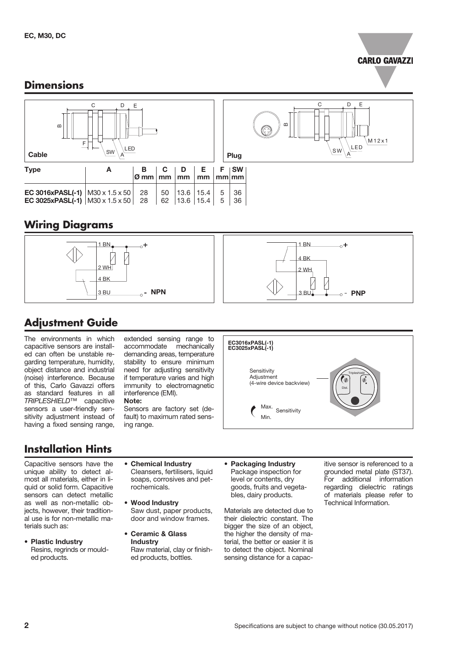

### **Dimensions**



## **Wiring Diagrams**



# **Adjustment Guide**

The environments in which capacitive sensors are installed can often be unstable regarding temperature, humidity, object distance and industrial (noise) interference. Because of this, Carlo Gavazzi offers as standard features in all *TRIPLESHIELD*™ capacitive sensors a user-friendly sensitivity adjustment instead of having a fixed sensing range,

extended sensing range to accommodate mechanically demanding areas, temperature stability to ensure minimum need for adjusting sensitivity if temperature varies and high immunity to electromagnetic interference (EMI). Note:

#### Sensors are factory set (default) to maximum rated sens-

ing range.

## **Installation Hints**

Capacitive sensors have the unique ability to detect almost all materials, either in liquid or solid form. Capacitive sensors can detect metallic as well as non-metallic objects, however, their traditional use is for non-metallic materials such as:

- Plastic Industry Resins, regrinds or moulded products.
- Chemical Industry Cleansers, fertilisers, liquid soaps, corrosives and petrochemicals.
- Wood Industry Saw dust, paper products, door and window frames.
- Ceramic & Glass **Industry** Raw material, clay or finished products, bottles.
- Packaging Industry Package inspection for level or contents, dry goods, fruits and vegetables, dairy products.

Max. Min.

**Sensitivity Adjustment** 

**Sensitivity** 

(4-wire device backview)

EC3016xPASL(-1) EC3025xPASL(-1)

Materials are detected due to their dielectric constant. The bigger the size of an object, the higher the density of material, the better or easier it is to detect the object. Nominal sensing distance for a capacitive sensor is referenced to a grounded metal plate (ST37). For additional information regarding dielectric ratings of materials please refer to Technical Information.

**Tripleshield** 

**Dist.**